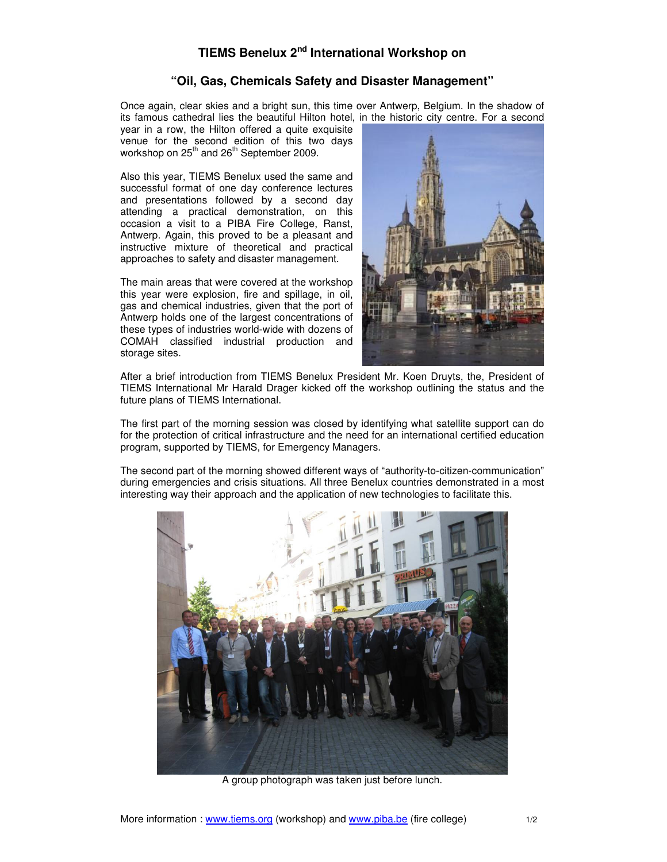## **TIEMS Benelux 2 nd International Workshop on**

## **"Oil, Gas, Chemicals Safety and Disaster Management"**

Once again, clear skies and a bright sun, this time over Antwerp, Belgium. In the shadow of its famous cathedral lies the beautiful Hilton hotel, in the historic city centre. For a second

year in a row, the Hilton offered a quite exquisite venue for the second edition of this two days workshop on 25<sup>th</sup> and 26<sup>th</sup> September 2009.

Also this year, TIEMS Benelux used the same and successful format of one day conference lectures and presentations followed by a second day attending a practical demonstration, on this occasion a visit to a PIBA Fire College, Ranst, Antwerp. Again, this proved to be a pleasant and instructive mixture of theoretical and practical approaches to safety and disaster management.

The main areas that were covered at the workshop this year were explosion, fire and spillage, in oil, gas and chemical industries, given that the port of Antwerp holds one of the largest concentrations of these types of industries world-wide with dozens of COMAH classified industrial production and storage sites.



After a brief introduction from TIEMS Benelux President Mr. Koen Druyts, the, President of TIEMS International Mr Harald Drager kicked off the workshop outlining the status and the future plans of TIEMS International.

The first part of the morning session was closed by identifying what satellite support can do for the protection of critical infrastructure and the need for an international certified education program, supported by TIEMS, for Emergency Managers.

The second part of the morning showed different ways of "authority-to-citizen-communication" during emergencies and crisis situations. All three Benelux countries demonstrated in a most interesting way their approach and the application of new technologies to facilitate this.



A group photograph was taken just before lunch.